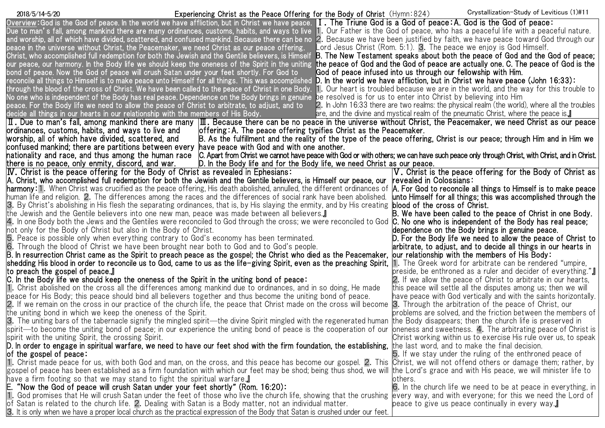Experiencing Christ as the Peace Offering for the Body of Christ (Hymn:824) 2018/5/14-5/20 Crystallization-Study of Leviticus (1)#11

| Overview:God is the God of peace. In the world we have affliction, but in Christ we have peace. <b>I. The Triune God is a God of peace: A. God is the God of peace:</b>                                                                     |                                                                                               |
|---------------------------------------------------------------------------------------------------------------------------------------------------------------------------------------------------------------------------------------------|-----------------------------------------------------------------------------------------------|
| Due to man's fall, among mankind there are many ordinances, customs, habits, and ways to live 1. Our Father is the God of peace, who has a peaceful life with a peaceful nature.                                                            |                                                                                               |
| and worship, all of which have divided, scattered, and confused mankind. Because there can be no 2. Because we have been justified by faith, we have peace toward God through our                                                           |                                                                                               |
| peace in the universe without Christ, the Peacemaker, we need Christ as our peace offering.                                                                                                                                                 | ord Jesus Christ (Rom. 5:1). 3. The peace we enjoy is God Himself.                            |
| Christ, who accomplished full redemption for both the Jewish and the Gentile believers, is Himself B. The New Testament speaks about both the peace of God and the God of peace;                                                            |                                                                                               |
| our peace, our harmony. In the Body life we should keep the oneness of the Spirit in the uniting <b>the peace of God and the God of peace are actually one. C. The peace of God is the</b>                                                  |                                                                                               |
| bond of peace. Now the God of peace will crush Satan under your feet shortly. For God to                                                                                                                                                    | God of peace infused into us through our fellowship with Him.                                 |
| reconcile all things to Himself is to make peace unto Himself for all things. This was accomplished <b>D. In the world we have affliction, but in Christ we have peace (John 16:33):</b>                                                    |                                                                                               |
| through the blood of the cross of Christ. We have been called to the peace of Christ in one Body.                                                                                                                                           | 1. Our heart is troubled because we are in the world, and the way for this trouble to         |
| No one who is independent of the Body has real peace. Dependence on the Body brings in genuine "be resolved is for us to enter into Christ by believing into Him                                                                            |                                                                                               |
| peace. For the Body life we need to allow the peace of Christ to arbitrate, to adjust, and to                                                                                                                                               | 2. In John 16:33 there are two realms: the physical realm (the world), where all the troubles |
| decide all things in our hearts in our relationship with the members of His Body.                                                                                                                                                           | are, and the divine and mystical realm of the pneumatic Christ, where the peace is.           |
| $\,$ II . Due to man's fall, among mankind there are many $\,$ III . Because there can be no peace in the universe without Christ, the Peacemaker, we need Christ as our peace                                                              |                                                                                               |
| ordinances, customs, habits, and ways to live and<br>offering: A. The peace offering typifies Christ as the Peacemaker.                                                                                                                     |                                                                                               |
| worship, all of which have divided, scattered, and<br>B. As the fulfillment and the reality of the type of the peace offering, Christ is our peace; through Him and in Him we                                                               |                                                                                               |
| confused mankind; there are partitions between every  have peace with God and with one another.                                                                                                                                             |                                                                                               |
| C. Apart from Christ we cannot have peace with God or with others; we can have such peace only through Christ, with Christ, and in Christ.<br>nationality and race, and thus among the human race                                           |                                                                                               |
| there is no peace, only enmity, discord, and war.<br>D. In the Body life and for the Body life, we need Christ as our peace.                                                                                                                |                                                                                               |
| <b>IV.</b> Christ is the peace offering for the Body of Christ as revealed in Ephesians:                                                                                                                                                    | V. Christ is the peace offering for the Body of Christ as                                     |
| A. Christ, who accomplished full redemption for both the Jewish and the Gentile believers, is Himself our peace, our                                                                                                                        | <b>revealed in Colossians:</b>                                                                |
| <b>harmony:</b> 1. When Christ was crucified as the peace offering, His death abolished, annulled, the different ordinances of <b> A. For God to reconcile all things to Himself is to make peace</b>                                       |                                                                                               |
| human life and religion. 2. The differences among the races and the differences of social rank have been abolished. <b>unto Himself for all things; this was accomplished through the</b>                                                   |                                                                                               |
| 3. By Christ's abolishing in His flesh the separating ordinances, that is, by His slaying the enmity, and by His creating <b>blood of the cross of Christ.</b>                                                                              |                                                                                               |
| the Jewish and the Gentile believers into one new man, peace was made between all believers.』                                                                                                                                               | B. We have been called to the peace of Christ in one Body.                                    |
| 4. In one Body both the Jews and the Gentiles were reconciled to God through the cross; we were reconciled to God <b>C. No one who is independent of the Body has real peace;</b>                                                           |                                                                                               |
| not only for the Body of Christ but also in the Body of Christ.                                                                                                                                                                             | dependence on the Body brings in genuine peace.                                               |
| 5. Peace is possible only when everything contrary to God's economy has been terminated.                                                                                                                                                    | D. For the Body life we need to allow the peace of Christ to                                  |
| 6. Through the blood of Christ we have been brought near both to God and to God's people.                                                                                                                                                   | arbitrate, to adjust, and to decide all things in our hearts in                               |
| B. In resurrection Christ came as the Spirit to preach peace as the gospel; the Christ who died as the Peacemaker,                                                                                                                          | our relationship with the members of His Body:                                                |
| shedding His blood in order to reconcile us to God, came to us as the life-giving Spirit, even as the preaching Spirit, [1. The Greek word for arbitrate can be rendered "umpire,                                                           |                                                                                               |
| to preach the gospel of peace.』                                                                                                                                                                                                             | preside, be enthroned as a ruler and decider of everything."                                  |
| C. In the Body life we should keep the oneness of the Spirit in the uniting bond of peace:                                                                                                                                                  | 2. If we allow the peace of Christ to arbitrate in our hearts,                                |
| 1. Christ abolished on the cross all the differences among mankind due to ordinances, and in so doing, He made                                                                                                                              | this peace will settle all the disputes among us; then we will                                |
| peace for His Body; this peace should bind all believers together and thus become the uniting bond of peace.                                                                                                                                | have peace with God vertically and with the saints horizontally.                              |
| 2. If we remain on the cross in our practice of the church life, the peace that Christ made on the cross will become                                                                                                                        | 3. Through the arbitration of the peace of Christ, our                                        |
| the uniting bond in which we keep the oneness of the Spirit.                                                                                                                                                                                | problems are solved, and the friction between the members of                                  |
| 3. The uniting bars of the tabernacle signify the mingled spirit—the divine Spirit mingled with the regenerated human                                                                                                                       | the Body disappears; then the church life is preserved in                                     |
| lspirit—to become the uniting bond of peace; in our experience the uniting bond of peace is the cooperation of our  oneness and sweetness. 4. The arbitrating peace of Christ is and sour                                                   |                                                                                               |
| spirit with the uniting Spirit, the crossing Spirit.                                                                                                                                                                                        | Christ working within us to exercise His rule over us, to speak                               |
| D. In order to engage in spiritual warfare, we need to have our feet shod with the firm foundation, the establishing, the last word, and to make the final decision.                                                                        |                                                                                               |
| of the gospel of peace:                                                                                                                                                                                                                     | 5. If we stay under the ruling of the enthroned peace of                                      |
| 1. Christ made peace for us, with both God and man, on the cross, and this peace has become our gospel. 2. This Christ, we will not offend others or damage them; rather, by                                                                |                                                                                               |
| gospel of peace has been established as a firm foundation with which our feet may be shod; being thus shod, we will  the Lord's grace and with His peace, we will minister life to                                                          |                                                                                               |
| have a firm footing so that we may stand to fight the spiritual warfare.』                                                                                                                                                                   | lothers.                                                                                      |
| E. "Now the God of peace will crush Satan under your feet shortly" (Rom. 16:20):                                                                                                                                                            | 6. In the church life we need to be at peace in everything, in                                |
| 1. God promises that He will crush Satan under the feet of those who live the church life, showing that the crushing                                                                                                                        | every way, and with everyone; for this we need the Lord of                                    |
|                                                                                                                                                                                                                                             |                                                                                               |
| of Satan is related to the church life. 2. Dealing with Satan is a Body matter, not an individual matter.<br>3. It is only when we have a proper local church as the practical expression of the Body that Satan is crushed under our feet. | peace to give us peace continually in every way.』                                             |
|                                                                                                                                                                                                                                             |                                                                                               |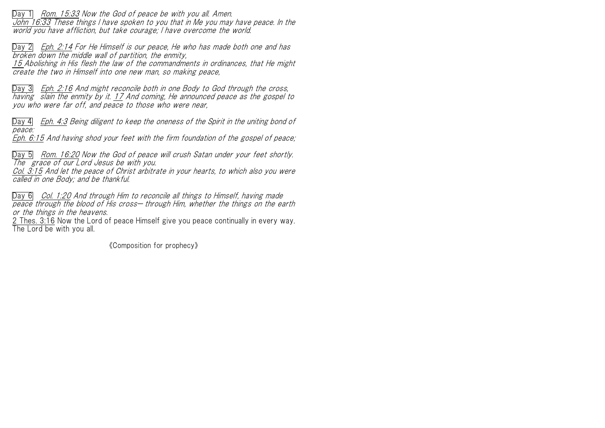Day 1 Rom. 15:33 Now the God of peace be with you all. Amen. John 16:33 These things I have spoken to you that in Me you may have peace. In the world you have affliction, but take courage; I have overcome the world.

Day 2 Eph. 2:14 For He Himself is our peace, He who has made both one and has broken down the middle wall of partition, the enmity,

15 Abolishing in His flesh the law of the commandments in ordinances, that He might create the two in Himself into one new man, so making peace,

Day 3 Eph. 2:16 And might reconcile both in one Body to God through the cross, having slain the enmity by it. 17 And coming, He announced peace as the gospel to you who were far off, and peace to those who were near,

Day 4 Eph. 4:3 Being diligent to keep the oneness of the Spirit in the uniting bond of peace:

Eph. 6:15 And having shod your feet with the firm foundation of the gospel of peace;

Day 5 Rom. 16:20 Now the God of peace will crush Satan under your feet shortly. The grace of our Lord Jesus be with you.

Col. 3:15 And let the peace of Christ arbitrate in your hearts, to which also you were called in one Body; and be thankful.

Day 6 Col. 1:20 And through Him to reconcile all things to Himself, having made peace through the blood of His cross— through Him, whether the things on the earth or the things in the heavens.

2 Thes. 3:16 Now the Lord of peace Himself give you peace continually in every way. The Lord be with you all.

《Composition for prophecy》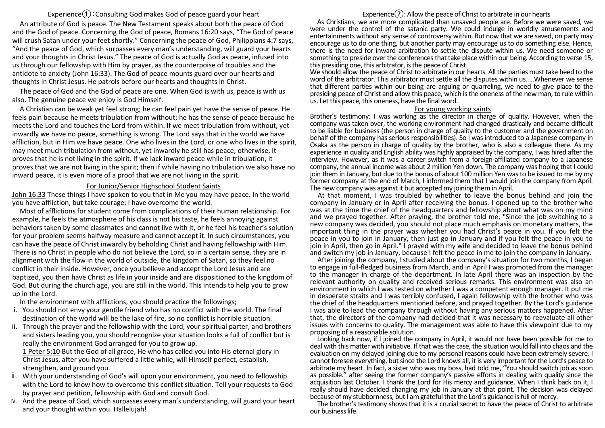## Experience $\Omega$ : Consulting God makes God of peace guard your heart

An attribute of God is peace. The New Testament speaks about both the peace of God and the God of peace. Concerning the God of peace, Romans 16:20 says, "The God of peace will crush Satan under your feet shortly." Concerning the peace of God, Philippians 4:7 says, "And the peace of God, which surpasses every man's understanding, will guard your hearts and your thoughts in Christ Jesus." The peace of God is actually God as peace, infused into us through our fellowship with Him by prayer, as the counterpoise of troubles and the antidote to anxiety (John 16:33). The God of peace mounts guard over our hearts and thoughts in Christ Jesus. He patrols before our hearts and thoughts in Christ.

The peace of God and the God of peace are one. When God is with us, peace is with us also. The genuine peace we enjoy is God Himself.

A Christian can be weak yet feel strong; he can feel pain yet have the sense of peace. He feels pain because he meets tribulation from without; he has the sense of peace because he meets the Lord and touches the Lord from within. If we meet tribulation from without, yet inwardly we have no peace, something is wrong. The Lord says that in the world we have affliction, but in Him we have peace. One who lives in the Lord, or one who lives in the spirit, may meet much tribulation from without, yet inwardly he still has peace; otherwise, it proves that he is not living in the spirit. If we lack inward peace while in tribulation, it proves that we are not living in the spirit; then if while having no tribulation we also have no inward peace, it is even more of a proof that we are not living in the spirit.

## For Junior/Senior Highschool Student Saints

John 16:33 These things I have spoken to you that in Me you may have peace. In the world you have affliction, but take courage; I have overcome the world.

Most of afflictions for student come from complications of their human relationship. For example, he feels the atmosphere of his class is not his taste, he feels annoying against behaviors taken by some classmates and cannot live with it, or he feel his teacher's solution for your problem seems halfway measure and cannot accept it. In such circumstances, you can have the peace of Christ inwardly by beholding Christ and having fellowship with Him. There is no Christ in people who do not believe the Lord, so in a certain sense, they are in alignment with the flow in the world of outside, the kingdom of Satan, so they feel no conflict in their inside. However, once you believe and accept the Lord Jesus and are baptized, you then have Christ as life in your inside and are dispositioned to the kingdom of God. But during the church age, you are still in the world. This intends to help you to grow up in the Lord.

In the environment with afflictions, you should practice the followings;

- i. You should not envy your gentile friend who has no conflict with the world. The final destination of the world will be the lake of fire, so no conflict is horrible situation.
- ii. Through the prayer and the fellowship with the Lord, your spiritual parter, and brothers and sisters leading you, you should recognize your situation looks a full of conflict but is really the environment God arranged for you to grow up.

1 Peter 5:10 But the God of all grace, He who has called you into His eternal glory in Christ Jesus, after you have suffered a little while, will Himself perfect, establish, strengthen, and ground you.

- iii. With your understanding of God's will upon your environment, you need to fellowship with the Lord to know how to overcome this conflict situation. Tell your requests to God by prayer and petition, fellowship with God and consult God.
- iv. And the peace of God, which surpasses every man's understanding, will guard your heart and your thought within you. Hallelujah!

## Experience $(2)$ : Allow the peace of Christ to arbitrate in our hearts

As Christians, we are more complicated than unsaved people are. Before we were saved, we were under the control of the satanic party. We could indulge in worldly amusements and entertainments without any sense of controversy within. But now that we are saved, on party may encourage us to do one thing, but another party may encourage us to do something else. Hence, there is the need for inward arbitration to settle the dispute within us. We need someone or something to preside over the conferences that take place within our being. According to verse 15, this presiding one, this arbitrator, is the peace of Christ.

We should allow the peace of Christ to arbitrate in our hearts. All the parties must take heed to the word of the arbitrator. This arbitrator must settle all the disputes within us.....Whenever we sense that different parties within our being are arguing or quarreling, we need to give place to the presiding peace of Christ and allow this peace, which is the oneness of the new man, to rule within us. Let this peace, this oneness, have the final word.

## For young working saints

Brother's testimony: I was working as the director in charge of quality. However, when the company was taken over, the working environment had changed drastically and became difficult to be liable for business (the person in charge of quality to the customer and the government on behalf of the company has serious responsibilities). So I was introduced to a Japanese company in Osaka as the person in charge of quality by the brother, who is also a colleague there. As my experience in quality and English ability was highly appraised by the company, I was hired after the interview. However, as it was a career switch from a foreign-affiliated company to a Japanese company, the annual income was about 2 million Yen down. The company was hoping that I could join them in January, but due to the bonus of about 100 million Yen was to be issued to me by my former company at the end of March, I informed them that I would join the company from April. The new company was against it but accepted my joining themin April.

At that moment, I was troubled by whether to leave the bonus behind and join the company in January or in April after receiving the bonus. I opened up to the brother who was at the time the chief of the headquarters and fellowship about what was on my mind and we prayed together. After praying, the brother told me, "Since the job switching to a new company was decided, you should not place much emphasis on monetary matters, the important thing in the prayer was whether you had Christ's peace in you. If you felt the peace in you to join in January, then just go in January and if you felt the peace in you to join in April, then go in April." I prayed with my wife and decided to leave the bonus behind and switch my job in January, because I felt the peace in me to join the company in January.

After joining the company, I studied about the company's situation for two months, I began to engage in full-fledged business from March, and in April I was promoted from the manager to the manager in charge of the department. In late April there was an inspection by the relevant authority on quality and received serious remarks. This environment was also an environment in which I was tested on whether I was a competent enough manager. It put me in desperate straits and I was terribly confused, I again fellowship with the brother who was the chief of the headquarters mentioned before, and prayed together. By the Lord's guidance I was able to lead the company through without having any serious matters happened. After that, the directors of the company had decided that it was necessary to reevaluate all other issues with concerns to quality. The management was able to have this viewpoint due to my proposing of a reasonable solution.

Looking back now, if I joined the company in April, it would not have been possible for me to deal with this matter with initiative. If that was the case, the situation would fall into chaos and the evaluation on my delayed joining due to my personal reasons could have been extremely severe. I cannot foresee everything, but since the Lord knows all, it is very important for the Lord's peace to arbitrate my heart. In fact, a sister who was my boss, had told me, "You should switch job as soon as possible." after seeing the former company's passive efforts in dealing with quality since the acquisition last October. I thank the Lord for His mercy and guidance. When I think back on it, I really should have decided changing my job in January at that point. The decision was delayed because of my stubbornness, but I am grateful that the Lord's guidance is full of mercy.

The brother's testimony shows that it is a crucial secret to have the peace of Christ to arbitrate our business life.